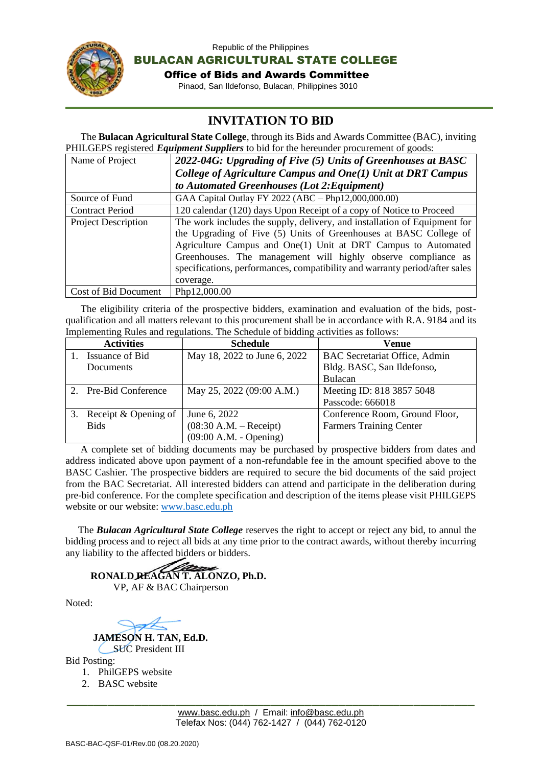

Republic of the Philippines

BULACAN AGRICULTURAL STATE COLLEGE

Office of Bids and Awards Committee

Pinaod, San Ildefonso, Bulacan, Philippines 3010

## i. **INVITATION TO BID**

 The **Bulacan Agricultural State College**, through its Bids and Awards Committee (BAC), inviting PHILGEPS registered *Equipment Suppliers* to bid for the hereunder procurement of goods:

| Name of Project            | 2022-04G: Upgrading of Five (5) Units of Greenhouses at BASC                |  |  |
|----------------------------|-----------------------------------------------------------------------------|--|--|
|                            | College of Agriculture Campus and One(1) Unit at DRT Campus                 |  |  |
|                            | to Automated Greenhouses (Lot 2: Equipment)                                 |  |  |
| Source of Fund             | GAA Capital Outlay FY 2022 (ABC – Php12,000,000.00)                         |  |  |
| <b>Contract Period</b>     | 120 calendar (120) days Upon Receipt of a copy of Notice to Proceed         |  |  |
| <b>Project Description</b> | The work includes the supply, delivery, and installation of Equipment for   |  |  |
|                            | the Upgrading of Five (5) Units of Greenhouses at BASC College of           |  |  |
|                            | Agriculture Campus and One(1) Unit at DRT Campus to Automated               |  |  |
|                            | Greenhouses. The management will highly observe compliance as               |  |  |
|                            | specifications, performances, compatibility and warranty period/after sales |  |  |
|                            | coverage.                                                                   |  |  |
| Cost of Bid Document       | Php12,000.00                                                                |  |  |

 The eligibility criteria of the prospective bidders, examination and evaluation of the bids, postqualification and all matters relevant to this procurement shall be in accordance with R.A. 9184 and its Implementing Rules and regulations. The Schedule of bidding activities as follows:

|    | <b>Activities</b>    | <b>Schedule</b>              | Venue                                |
|----|----------------------|------------------------------|--------------------------------------|
|    | Issuance of Bid      | May 18, 2022 to June 6, 2022 | <b>BAC</b> Secretariat Office, Admin |
|    | Documents            |                              | Bldg. BASC, San Ildefonso,           |
|    |                      |                              | Bulacan                              |
|    | Pre-Bid Conference   | May 25, 2022 (09:00 A.M.)    | Meeting ID: 818 3857 5048            |
|    |                      |                              | Passcode: 666018                     |
| 3. | Receipt & Opening of | June 6, 2022                 | Conference Room, Ground Floor,       |
|    | <b>Bids</b>          | $(08:30 A.M. - Receipt)$     | <b>Farmers Training Center</b>       |
|    |                      | $(09:00 A.M. - Opening)$     |                                      |

 A complete set of bidding documents may be purchased by prospective bidders from dates and address indicated above upon payment of a non-refundable fee in the amount specified above to the BASC Cashier. The prospective bidders are required to secure the bid documents of the said project from the BAC Secretariat. All interested bidders can attend and participate in the deliberation during pre-bid conference. For the complete specification and description of the items please visit PHILGEPS website or our website: [www.basc.edu.ph](http://www.basc.edu.ph/)

 The *Bulacan Agricultural State College* reserves the right to accept or reject any bid, to annul the bidding process and to reject all bids at any time prior to the contract awards, without thereby incurring any liability to the affected bidders or bidders.

 **RONALD REAGAN T. ALONZO, Ph.D.** VP, AF & BAC Chairperson

Noted:

 **JAMESON H. TAN, Ed.D.** SUC President III

Bid Posting:

- 1. PhilGEPS website
- 2. BASC website